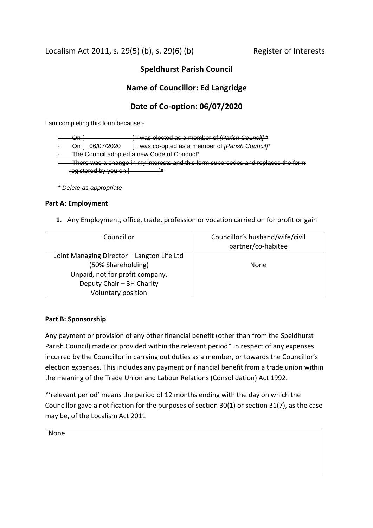Localism Act 2011, s. 29(5) (b), s. 29(6) (b) Register of Interests

# **Speldhurst Parish Council**

# **Name of Councillor: Ed Langridge**

# **Date of Co-option: 06/07/2020**

I am completing this form because:-

|                                                                                   | ۱n.                                                         | H was elected as a member of <i>[Parish Council]</i> * |  |
|-----------------------------------------------------------------------------------|-------------------------------------------------------------|--------------------------------------------------------|--|
|                                                                                   | On [ 06/07/2020                                             | I I was co-opted as a member of [Parish Council]*      |  |
| The Council adopted a new Code of Conduct*                                        |                                                             |                                                        |  |
| There was a change in my interests and this form supersedes and replaces the form |                                                             |                                                        |  |
|                                                                                   | registered by you on $\left\lceil \frac{1}{2} \right\rceil$ |                                                        |  |
|                                                                                   |                                                             |                                                        |  |

*\* Delete as appropriate*

## **Part A: Employment**

**1.** Any Employment, office, trade, profession or vocation carried on for profit or gain

| Councillor                                 | Councillor's husband/wife/civil |
|--------------------------------------------|---------------------------------|
|                                            | partner/co-habitee              |
| Joint Managing Director - Langton Life Ltd |                                 |
| (50% Shareholding)                         | None                            |
| Unpaid, not for profit company.            |                                 |
| Deputy Chair - 3H Charity                  |                                 |
| Voluntary position                         |                                 |

## **Part B: Sponsorship**

Any payment or provision of any other financial benefit (other than from the Speldhurst Parish Council) made or provided within the relevant period\* in respect of any expenses incurred by the Councillor in carrying out duties as a member, or towards the Councillor's election expenses. This includes any payment or financial benefit from a trade union within the meaning of the Trade Union and Labour Relations (Consolidation) Act 1992.

\*'relevant period' means the period of 12 months ending with the day on which the Councillor gave a notification for the purposes of section 30(1) or section 31(7), as the case may be, of the Localism Act 2011

None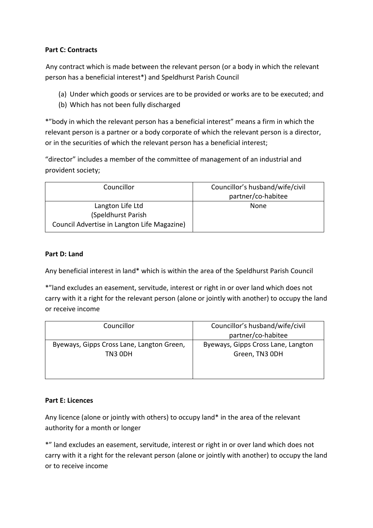# **Part C: Contracts**

 Any contract which is made between the relevant person (or a body in which the relevant person has a beneficial interest\*) and Speldhurst Parish Council

- (a) Under which goods or services are to be provided or works are to be executed; and
- (b) Which has not been fully discharged

\*"body in which the relevant person has a beneficial interest" means a firm in which the relevant person is a partner or a body corporate of which the relevant person is a director, or in the securities of which the relevant person has a beneficial interest;

"director" includes a member of the committee of management of an industrial and provident society;

| Councillor                                  | Councillor's husband/wife/civil |
|---------------------------------------------|---------------------------------|
|                                             | partner/co-habitee              |
| Langton Life Ltd                            | None                            |
| (Speldhurst Parish)                         |                                 |
| Council Advertise in Langton Life Magazine) |                                 |

#### **Part D: Land**

Any beneficial interest in land\* which is within the area of the Speldhurst Parish Council

\*"land excludes an easement, servitude, interest or right in or over land which does not carry with it a right for the relevant person (alone or jointly with another) to occupy the land or receive income

| Councillor                                | Councillor's husband/wife/civil<br>partner/co-habitee |
|-------------------------------------------|-------------------------------------------------------|
| Byeways, Gipps Cross Lane, Langton Green, | Byeways, Gipps Cross Lane, Langton                    |
| TN3 ODH                                   | Green, TN3 ODH                                        |

## **Part E: Licences**

Any licence (alone or jointly with others) to occupy land\* in the area of the relevant authority for a month or longer

\*" land excludes an easement, servitude, interest or right in or over land which does not carry with it a right for the relevant person (alone or jointly with another) to occupy the land or to receive income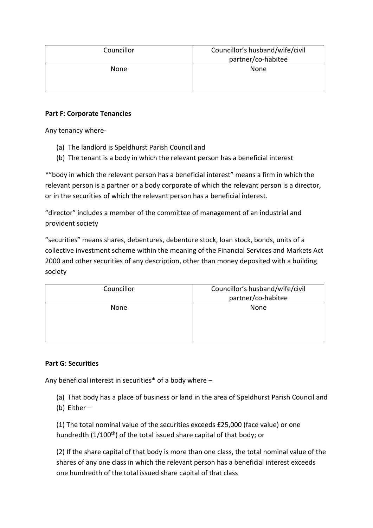| Councillor | Councillor's husband/wife/civil<br>partner/co-habitee |
|------------|-------------------------------------------------------|
| None       | None                                                  |

### **Part F: Corporate Tenancies**

Any tenancy where-

- (a) The landlord is Speldhurst Parish Council and
- (b) The tenant is a body in which the relevant person has a beneficial interest

\*"body in which the relevant person has a beneficial interest" means a firm in which the relevant person is a partner or a body corporate of which the relevant person is a director, or in the securities of which the relevant person has a beneficial interest.

"director" includes a member of the committee of management of an industrial and provident society

"securities" means shares, debentures, debenture stock, loan stock, bonds, units of a collective investment scheme within the meaning of the Financial Services and Markets Act 2000 and other securities of any description, other than money deposited with a building society

| Councillor | Councillor's husband/wife/civil<br>partner/co-habitee |
|------------|-------------------------------------------------------|
| None       | None                                                  |

## **Part G: Securities**

Any beneficial interest in securities\* of a body where –

(a) That body has a place of business or land in the area of Speldhurst Parish Council and

(b) Either –

(1) The total nominal value of the securities exceeds £25,000 (face value) or one hundredth (1/100<sup>th</sup>) of the total issued share capital of that body; or

(2) If the share capital of that body is more than one class, the total nominal value of the shares of any one class in which the relevant person has a beneficial interest exceeds one hundredth of the total issued share capital of that class